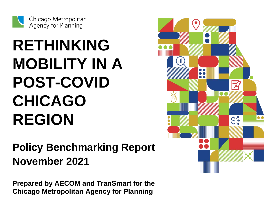

# **RETHINKING MOBILITY IN A POST-COVID CHICAGO REGION**

## **Policy Benchmarking Report November 2021**

**Prepared by AECOM and TranSmart for the Chicago Metropolitan Agency for Planning**

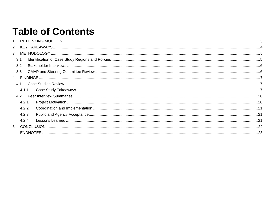## **Table of Contents**

| 2.  |       |  |
|-----|-------|--|
|     |       |  |
| 3.1 |       |  |
| 3.2 |       |  |
| 3.3 |       |  |
|     |       |  |
| 4.1 |       |  |
|     | 4.1.1 |  |
| 4.2 |       |  |
|     | 4.2.1 |  |
|     | 4.2.2 |  |
|     | 4.2.3 |  |
|     | 4.2.4 |  |
|     |       |  |
|     |       |  |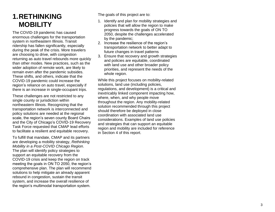## <span id="page-2-0"></span>**1.RETHINKING MOBILITY**

The COVID -19 pandemic has caused enormous challenges for the transportation system in northeastern Illinois . Transit ridership has fallen significantly, especially during the peak of the crisis. More travelers are choosing to drive, with congestion returning as auto travel rebounds more quickly than other modes. New practices, such as the wider adoption of remote work, are likely to remain even after the pandemic subsides. These shifts , and others, indicate that the COVID -19 pandemic could increase the region's reliance on auto travel, especially if there is an increase in single -occupant trips.

These challenges are not restricted to any single county or jurisdiction within northeastern Illinois. Recognizing that the transportation network is interconnected and policy solutions are needed at the regional scale, the region's seven county Board Chairs and the City of Chicago's COVID -19 Recovery Task Force requested that CMAP lead efforts to facilitate a resilient and equitable recovery.

To fulfill that mandate, CMAP and its partners are developing a mobility strategy, *Rethinking Mobility in a Post -COVID Chicago Region*. The plan will identify policy strategies to support an equitable recovery from the COVID -19 crisi s and keep the region on track meeting the goals in ON TO 2050, the region's comprehensive plan. The plan will recommend solutions to help mitigat e an already apparent rebound in congestion, sustain the transit system, and increas e the overall resilience of the region's multimodal transportation system.

The goals of this project are to:

- 1. Identify and plan for mobility strategies and policies that will allow the region to make progress towards the goals of ON TO 2050, despite the challenges accelerated by the pandemic;
- 2. Increase the resilience of the region's transportation network to better adapt to future changes in travel patterns
- 3. Ensure that recovery and growth strategies and policies are equitable, coordinated with land use and other broader policy priorities, and represent the needs of the whole region.

While this project focuses on mobility -related solutions, land use (including policies, regulations, and development) is a critical and inextricably linked component impacting how, where, when, and why people move throughout the region. Any mobility -related solution recommended through this project should therefore be deployed in close coordination with associated land use considerations. Examples of land use policies and strategies that can support an equitable region and mobility are included for reference in Section 4 of this report.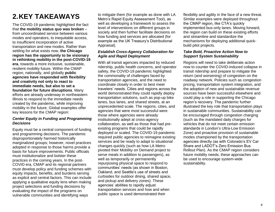## <span id="page-3-0"></span>**2.KEY TAKEAWAYS**

The COVID-19 pandemic highlighted the fact that **the mobility status quo was broken** – from uncoordinated service between various modes and operators, to inequitable access, to insufficient incorporation of active transportation and new modes. Rather than settling for what exists now, **the Chicago region has the opportunity to be visionary in rethinking mobility in the post-COVID-19 era**, towards a more inclusive, sustainable, resilient mobility future. Within the CMAP region, nationally, and globally **public agencies have responded with flexibility and creativity not only to react to immediate needs, but also to set a foundation for future disruptions**. Many efforts are already underway in northeastern Illinois to respond to the immediate needs created by the pandemic, while improving mobility in the future. Global examples offer key lessons for the CMAP region:

#### *Center Equity in Funding and Programming Decisions*

Equity must be a central component of funding and programming decisions. The pandemic disproportionately harmed historically marginalized groups; however, novel practices adopted in response to those harms provide a basis for future improvements. Public officials must institutionalize and bolster these practices in the coming years. In the post-COVID era, CMAP and its regional partners must develop policy and funding schemes with equity impacts, benefits, and burdens serving as explicit and central factors. This can include applying a qualitative equity lens when making project selections and funding decisions by evaluating the impact of the programs on vulnerable communities and identifying ways

to mitigate them (for example as done with LA Metro's Rapid Equity Assessment Tool), as well as developing a framework to assess the level of interventions on different groups in society and then further facilitate decisions on how funding and services are allocated (for example as the UK Treasury's Distributional Appraisal).

#### *Establish Cross-Agency Collaboration for Agile and Rapid Deployment*

With all transit agencies impacted by reduced ridership, public health concerns, and operator safety, the COVID-19 pandemic highlighted the commonality of challenges faced by transportation agencies, and the need to coordinate closely in order to best meet travelers' needs. Cities and regions across the world demonstrated they could rapidly deploy transportation solutions, such as pop-up bike lanes, bus lanes, and shared streets, at an unprecedented scale. The regions, cities, and agencies that were most successful were those where agencies were already institutionally adept at cross-agency collaboration, as well as those that had preexisting programs that could be rapidly deployed or scaled. The COVID-19 pandemic required public agencies to reimagine existing services and be ready to adapt to situational changes quickly (such as how LA Metro pivoted their Mobility on Demand project to serve meals in addition to passengers), as well as temporarily or permanently repurposing physical space to respond to communities' needs (as shown in Boston, Oakland, and Seattle's use of streets and curbsides for outdoor dining, shared space, and pickup and delivery zones). These agencies' abilities to rapidly adjust transportation services and how and when public space is used demonstrated their

flexibility and agility in the face of a new threat. Similar examples were deployed throughout the CMAP region, like CTA's quickly implemented bus-only lanes. Moving forward, the region can build on these existing efforts and streamline and standardize the mechanisms for deploying additional quickbuild pilot projects.

#### *Take Bold, Proactive Action Now to Support System Sustainability*

Regions will need to take deliberate action now to counter the COVID-induced collapse in transit ridership and prepare to mitigate the return (and worsening) of congestion on the roadway network. Policies such as congestion pricing, transportation system integration, and the adoption of new and sustainable revenue sources have been successful elsewhere and could play a role in supporting the Chicago region's recovery. The pandemic further illustrated the key role that transportation plays in sustainable communities. Sustainability can be encouraged through congestion charging (such as the mandated daily charges for vehicles that do not meet certain emission standards in London's Ultra-Low Emission Zone) and proactive provision of sustainable modes championed by the transportation agencies directly (as with Colorado's EV Car Share and LADOT's Zero Emission Bus Rollout Plan). As the CMAP region considers future mobility needs, these approaches can be used to encourage system-wide sustainability.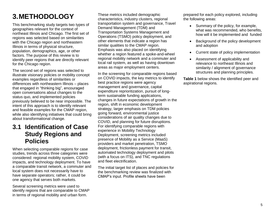## <span id="page-4-0"></span>**3.METHODOLOGY**

This benchmarking study targets two types of geographies relevant for the context of northeast Illinois and Chicago. The first set of regions was selected based on similarities with the Chicago region and northeastern Illinois in terms of physical structure, population, demographics, age, or other factors. The purpose of this review is to identify peer regions that are directly relevant for the Chicago region.

The second set of regions was selected to illustrate visionary policies or mobility concept examples regardless of similarities or differences with northeastern Illinois – places that engaged in "thinking big", encouraged open conversations about changes to the status quo, and implemented policies previously believed to be near impossible. The intent of this approach is to identify relevant and feasible examples for the CMAP region, while also identifying initiatives that could bring about transformational change.

## <span id="page-4-1"></span>**3.1 Identification of Case Study Regions and Policies**

When selecting comparable regions for case studies, trends across three categories were considered: regional mobility system, COVID impacts, and technology deployment. To have a comparable transit network, a commuter and local system does not necessarily have to have separate operators; rather, it could be one agency that serves both markets.

Several screening metrics were used to identify regions that are comparable to CMAP in terms of regional mobility and urban form.

These metrics included demographic characteristics, industry clusters, regional transportation system and governance, Travel Demand Management (TDM) and Transportation Systems Management and Operations (TSMO) policy deployment, and other elements that indicate a region has similar qualities to the CMAP region. Emphasis was also placed on identifying whether a region featured a spoke-and-wheel regional mobility network and a commuter and local rail system, as well as having downtown areas as major employment centers.

In the screening for comparable regions based on COVID impacts, the key metrics to identify best practice regions were agency management and governance, capital expenditure reprioritization, pursuit of longterm sustainable funding applications, changes in future expectations of growth in the region, shift in economic development strategy, larger emphasis on TDM policies going forward, environmental justice considerations of air quality changes due to COVID, and planning for future disruptions. For identifying comparable regions with experience in Mobility Technology Deployment, screening metrics included presence of Mobility as a Service (MaaS) providers and market penetration, TSMO deployment, frictionless payment for transit, automated technology deployment and pilots (with a focus on ITS), and TNC regulations and fleet electrification.

The initial target list of places and policies for the benchmarking review was finalized with CMAP's input. Profile sheets have been

prepared for each policy explored, including the following areas:

- Summary of the policy, for example, what was recommended, who benefits, how will it be implemented and funded
- Background of the policy development and adoption
- Current state of policy implementation
- Assessment of applicability and relevance to northeast Illinois and similarity / alignment of governance structures and planning principles.

**Table 1** below shows the identified peer and aspirational regions.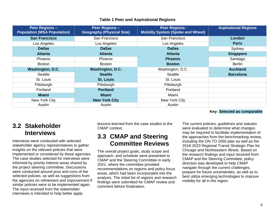#### **Table 1 Peer and Aspirational Regions**

| <b>Peer Regions -</b><br><b>Population (MSA Population)</b> | <b>Peer Regions -</b><br><b>Geography (Physical Size)</b> | <b>Peer Regions-</b><br><b>Mobility System (Spoke and Wheel)</b> | <b>Aspirational Regions</b> |
|-------------------------------------------------------------|-----------------------------------------------------------|------------------------------------------------------------------|-----------------------------|
| <b>San Francisco</b>                                        | San Francisco                                             | San Francisco                                                    | London                      |
| Los Angeles                                                 | Los Angeles                                               | Los Angeles                                                      | <b>Paris</b>                |
| <b>Dallas</b>                                               | <b>Dallas</b>                                             | <b>Dallas</b>                                                    | Sydney                      |
| <b>Atlanta</b>                                              | <b>Atlanta</b>                                            | <b>Atlanta</b>                                                   | <b>Singapore</b>            |
| Phoenix                                                     | Phoenix                                                   | <b>Phoenix</b>                                                   | Santiago                    |
| <b>Boston</b>                                               | <b>Boston</b>                                             | <b>Boston</b>                                                    | <b>Berlin</b>               |
| Washington, D.C.                                            | <b>Washington, D.C.</b>                                   | Washington, D.C.                                                 | <b>Auckland</b>             |
| Seattle                                                     | <b>Seattle</b>                                            | Seattle                                                          | <b>Barcelona</b>            |
| St. Louis                                                   | <b>St. Louis</b>                                          | St. Louis                                                        |                             |
| Pittsburgh                                                  | Pittsburgh                                                | Pittsburgh                                                       |                             |
| Portland                                                    | <b>Portland</b>                                           | Portland                                                         |                             |
| <b>Miami</b>                                                | <b>Miami</b>                                              | Miami                                                            |                             |
| New York City                                               | <b>New York City</b>                                      | New York City                                                    |                             |
| Austin                                                      | Austin                                                    | Austin                                                           |                             |

## <span id="page-5-0"></span>**3.2 Stakeholder Interviews**

Interviews were conducted with selected stakeholder agency representatives to gather insights on the relevant policies that were implemented or considered by these agencies. The case studies selected for interviews were informed by priority interest areas shared by the project steering committee. Discussions were conducted around pros and cons of the selected policies, as well as suggestions from the agencies on refinement and improvement if similar policies were to be implemented again. The input received from the stakeholder interviews is intended to help better apply

lessons-learned from the case studies to the CMAP context.

## <span id="page-5-1"></span>**3.3 CMAP and Steering Committee Reviews**

The overall project goals, study scope and approach, and schedule were presented to CMAP and the Steering Committee in early 2021, where the committee provided recommendations on regions and policy focus areas, which had been incorporated into the analysis. The initial list of regions and research findings were submitted for CMAP review and comment before finalization.

**Key: Selected as comparable**

The current policies, guidelines and statutes were evaluated to determine what changes may be required to facilitate implementation of the approaches from the benchmarking review, including the ON TO 2050 plan as well as the 2018-2023 Regional Transit Strategic Plan for Chicago and Northeastern Illinois. Based on the research findings and input received from CMAP and the Steering Committee, policy direction was developed to help CMAP navigate through the current challenges, prepare for future uncertainties, as well as to best utilize emerging technologies to improve mobility for all in the region.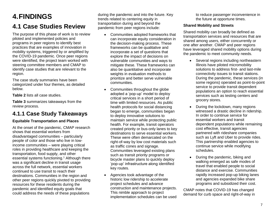## <span id="page-6-0"></span>**4.FINDINGS 4.1 Case Studies Review**

<span id="page-6-1"></span>The purpose of this phase of work is to review piloted and implemented policies and programs in peer regions to identify best practices that are examples of innovation in mobility systems, triggered by or amplified by the COVID-19 pandemic. Once peer regions were identified, the project team worked with steering committee members and CMAP to identify case studies that are relevant to the region.

The case study summaries have been categorized under four themes, as detailed below.

**[Table 2](#page-8-0)** lists all case studies.

**[Table 3](#page-9-0)** summarizes takeaways from the review process.

## <span id="page-6-2"></span>**4.1.1 Case Study Takeaways**

#### **Equitable Transportation and Places**

At the onset of the pandemic, CMAP research shows that essential workers from disadvantaged communities – particularly people of color and those who live in lowincome communities – were playing critical roles in providing healthcare and keeping the transportation, food supply, and other essential systems functioning. <sup>1</sup> Although there was a significant decline in transit usage across the full network, essential workers continued to use transit to reach their destinations. Communities in the region and other peer regions quickly pivoted to providing resources for these residents during the pandemic and identified equity goals that could address the needs of these populations

during the pandemic and into the future. Key trends related to centering equity in transportation during and beyond the pandemic from peer regions include:

- Communities adopted frameworks that can incorporate equity consideration in the decision-making process. These frameworks can be qualitative and incorporate a set of questions that explore the impact of decisions on vulnerable communities and ways to mitigate these. These frameworks can also be quantitative and incorporate weights in evaluation methods to prioritize and better serve vulnerable communities.
- Communities throughout the globe adopted a 'pop-up' model to deploy critical services in a short period of time with limited resources. As public health protocols for social distancing began to emerge, communities began to deploy innovative solutions to maintain service while protecting public health. For example, transit operators created priority or bus-only lanes to key destinations to serve essential workers. These were often demarcated on the right-of-way by low cost materials such as traffic cones and signage. Communities leveraged existing plans such as transit priority programs or bicycle master plans to quickly deploy 'pop-up' infrastructure along identified key routes.
- Agencies took advantage of the historic low ridership to accelerate project schedules and advance construction and maintenance projects. This nimble approach to project implementation schedules can be used

to reduce passenger inconvenience in the future at opportune times.

#### **Shared Mobility and Streets**

Shared mobility can broadly be defined as transportation services and resources that are shared among users, either concurrently or one after another. CMAP and peer regions have leveraged shared mobility options during the pandemic to meet community needs.

- Several regions including northeastern Illinois have piloted micromobility solutions to address first- and last-mile connectivity issues to transit stations. During the pandemic, these services (in some regions) operated as point-to-point service to provide transit dependent populations an option to reach essential services such as testing centers and grocery stores.
- During the lockdown, many regions witnessed a drastic decline in ridership. In order to continue service for essential workers and transit dependent populations while remaining cost effective, transit agencies partnered with rideshare companies such as Lyft and Uber to provide rides. This partnership enabled agencies to continue service while modifying schedules.
- During the pandemic, biking and walking emerged as safe modes of travel that enabled people to social distance and exercise. Communities rapidly increased pop-up biking lanes and agencies expanded bike share programs and subsidized their cost.

CMAP notes that COVID-19 has changed demand for curb space and right-of-way in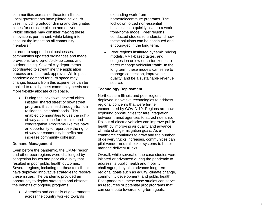communities across northeastern Illinois. Local governments have piloted new curb uses, including outdoor dining and designated zones for curbside pickup and deliveries. Public officials may consider making these innovations permanent, while taking into account the impact on all community members.<sup>2</sup>

In order to support local businesses, communities updated ordinances and made provisions for drop -off/pick -up zones and outdoor dining. Several city departments coordinated to streamline the application process and fast track approval. While post pandemic demand for curb space may change, lessons from this experience can be applied to rapidly meet community needs and more flexibly allocate curb space .

 During the lockdown, several cities initiated shared street or slow street program s that limited through -traffic in residential neighborhoods. This enabled communities to use the right of -way as a place for exercise and congregation. Programs like this have an opportunity to repurpose the right of - way for community benefits and increase community cohesion.

#### **Demand Management**

Even before the pandemic , the CMAP region and other peer regions were challenged by congestion issues and poor air quality that resulted in poor public health outcomes. Several regions, including northeastern Illinois , have deployed innovative strategies to resolve these issues. The pandemic provided an opportunity to deploy strategies and observe the benefits o f ongoing programs .

• Agencies and councils of governments across the country worked towards

expanding work -from home/telecommute programs. The lockdown forced non -essential businesses to quickly pivot to a work from -home model. Peer regions conducted studies to understand how these solutions can be continued and encouraged in the long term.

• Peer regions instituted dynamic pricing models, VMT -based taxes , and congestion or low emission zones to better manage vehicular traffic. In the long term , these models can serve to man age congestion, improve air quality , and be a sustainable revenue source.

#### **Technology Deployment**

Northeastern Illinois and peer regions deployed innovative technologies to address regional concerns that were further exacerbated by COVID -19. Regions are now exploring opportunities for fare integration between transit agencies to attract ridership. Rollout of electric vehicles can improve public health by improving air quality and advance climate change mitigation goals. As e commerce continues to grow and the number of delivery trucks increase s, communities can pilot vendor -neutral locker systems to better manage delivery trucks.

Overall, while several of th e case studies were initiated or advanced during the pandemic to address its public health and mobility challenges, they also advance long -term regional goals such as equity, climate change, community development , and public health. Post -pandemic, these case studies can serve as resources or potential pilot programs that can contribute towards long -term goals.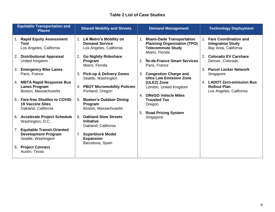#### **Table 2 List of Case Studies**

<span id="page-8-0"></span>

| <b>Equitable Transportation and</b><br><b>Places</b> |                                                                                        |    | <b>Shared Mobility and Streets</b>                                            |    | <b>Demand Management</b>                                                                                             |         | <b>Technology Deployment</b>                                                     |
|------------------------------------------------------|----------------------------------------------------------------------------------------|----|-------------------------------------------------------------------------------|----|----------------------------------------------------------------------------------------------------------------------|---------|----------------------------------------------------------------------------------|
|                                                      | 1. Rapid Equity Assessment<br>Tool<br>Los Angeles, California                          |    | 1. LA Metro's Mobility on<br><b>Demand Service</b><br>Los Angeles, California | 1. | <b>Miami-Dade Transportation</b><br><b>Planning Organization (TPO)</b><br><b>Telecommute Study</b><br>Miami, Florida | $1_{-}$ | <b>Fare Coordination and</b><br><b>Integration Study</b><br>Bay Area, California |
|                                                      | 2. Distributional Appraisal<br>United Kingdom                                          | 2. | <b>Go Nightly Rideshare</b><br>Program<br>Miami, Florida                      | 2. | Île-de-France Smart Services<br>Paris, France                                                                        | 2.      | <b>Colorado EV Carshare</b><br>Denver, Colorado                                  |
|                                                      | 3. Emergency Bike Lanes<br>Paris, France                                               |    | 3. Pick-up & Delivery Zones<br>Seattle, Washington                            | 3. | <b>Congestion Charge and</b><br><b>Ultra Low Emission Zone</b>                                                       | 3.      | <b>Parcel Locker Network</b><br>Singapore                                        |
|                                                      | 4. MBTA Rapid Response Bus<br><b>Lanes Program</b><br>Boston, Massachusetts            |    | 4. PBOT Micromobility Policies<br>Portland, Oregon                            |    | (ULEZ) Zone<br>London, United Kingdom                                                                                |         | 4. LADOT Zero-emission Bus<br><b>Rollout Plan</b><br>Los Angeles, California     |
|                                                      | 5. Fare-free Shuttles to COVID-<br><b>19 Vaccine Sites</b><br>Oakland, California      | 5. | <b>Boston's Outdoor Dining</b><br>Program<br>Boston, Massachusetts            | 4. | <b>OReGO Vehicle Miles</b><br><b>Traveled Tax</b><br>Oregon                                                          |         |                                                                                  |
|                                                      | 6. Accelerate Project Schedule<br>Washington, D.C.                                     | 6. | <b>Oakland Slow Streets</b><br><b>Initiative</b>                              | 5. | <b>Road Pricing System</b><br>Singapore                                                                              |         |                                                                                  |
| 7.                                                   | <b>Equitable Transit-Oriented</b><br><b>Development Program</b><br>Seattle, Washington | 7. | Oakland, California<br><b>Superblock Model</b><br><b>Expansion</b>            |    |                                                                                                                      |         |                                                                                  |
| 8.                                                   | <b>Project Connect</b><br>Austin, Texas                                                |    | Barcelona, Spain                                                              |    |                                                                                                                      |         |                                                                                  |
|                                                      |                                                                                        |    |                                                                               |    |                                                                                                                      |         |                                                                                  |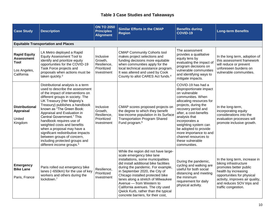#### **Table 3 Case Studies and Takeaways**

<span id="page-9-0"></span>

| <b>Case Study</b>                                                              | <b>Description</b>                                                                                                                                                                                                                                                                                                                                                                                                                                                                                                                             | <b>ON TO 2050</b><br><b>Principles</b><br><b>Alignment</b>       | <b>Similar Efforts in the CMAP</b><br><b>Region</b>                                                                                                                                                                                                                                                                                                                                                                                              | <b>Benefits during</b><br><b>COVID-19</b>                                                                                                                                                                                                                                                                                                                          | <b>Long-term Benefits</b>                                                                                                                                                                                                     |
|--------------------------------------------------------------------------------|------------------------------------------------------------------------------------------------------------------------------------------------------------------------------------------------------------------------------------------------------------------------------------------------------------------------------------------------------------------------------------------------------------------------------------------------------------------------------------------------------------------------------------------------|------------------------------------------------------------------|--------------------------------------------------------------------------------------------------------------------------------------------------------------------------------------------------------------------------------------------------------------------------------------------------------------------------------------------------------------------------------------------------------------------------------------------------|--------------------------------------------------------------------------------------------------------------------------------------------------------------------------------------------------------------------------------------------------------------------------------------------------------------------------------------------------------------------|-------------------------------------------------------------------------------------------------------------------------------------------------------------------------------------------------------------------------------|
|                                                                                | <b>Equitable Transportation and Places</b>                                                                                                                                                                                                                                                                                                                                                                                                                                                                                                     |                                                                  |                                                                                                                                                                                                                                                                                                                                                                                                                                                  |                                                                                                                                                                                                                                                                                                                                                                    |                                                                                                                                                                                                                               |
| <b>Rapid Equity</b><br><b>Assessment</b><br>Tool<br>Los Angeles,<br>California | LA Metro deployed a Rapid<br><b>Equity Assessment Tool to</b><br>identify and prioritize equity<br>opportunities for the COVID-19<br>Task Force projects and<br>proposals when actions must be<br>taken quickly. <sup>3</sup>                                                                                                                                                                                                                                                                                                                  | Inclusive<br>Growth,<br>Resilience,<br>Prioritized<br>Investment | <b>CMAP Community Cohorts tool</b><br>makes project selections and<br>funding decisions more equitable<br>when communities apply for the<br>local technical assistance program.<br>It was altered and used by Cook<br>County to allot CARES Act funds. <sup>4</sup>                                                                                                                                                                              | The assessment<br>provides a qualitative<br>equity lens by<br>evaluating the impact of<br>program decisions on<br>vulnerable communities<br>and identifying ways to<br>mitigate impacts.                                                                                                                                                                           | In the long term, adoption of<br>this assessment framework<br>will reduce or prevent<br>unforeseen burdens on<br>vulnerable communities.                                                                                      |
| <b>Distributional</b><br><b>Appraisal</b><br>United<br>Kingdom                 | Distributional analysis is a term<br>used to describe the assessment<br>of the impact of interventions on<br>different groups in society. The<br>UK Treasury (Her Majesty's<br>Treasury) publishes a handbook<br>known as "The Green Book:<br>Appraisal and Evaluation in<br>Central Government." This<br>handbook requires use of<br>weighted costs and benefits<br>when a proposal may have a<br>significant redistributive impacts<br>between groups of concern,<br>including protected groups and<br>different income groups. <sup>5</sup> | Inclusive<br>Growth,<br>Resilience,<br>Prioritized<br>Investment | CMAP scores proposed projects on<br>the degree to which they benefit<br>low-income population in its Surface<br><b>Transportation Program Shared</b><br>Fund program. <sup>6</sup>                                                                                                                                                                                                                                                               | COVID-19 has had a<br>disproportionate impact<br>on vulnerable<br>communities. When<br>allocating resources for<br>projects, during the<br>recovery period and<br>after, a cost-benefits<br>analysis that<br>incorporates a<br>weighting system can<br>be adopted to provide<br>more importance to and<br>channel resources to<br>these vulnerable<br>communities. | In the long-term,<br>incorporating equity<br>considerations into the<br>evaluation processes will<br>promote inclusive growth.                                                                                                |
| <b>Emergency</b><br><b>Bike Lane</b><br>Paris, France                          | Paris rolled out emergency bike<br>lanes (~650km) for the use of key<br>workers and others during the<br>lockdown. <sup>7</sup>                                                                                                                                                                                                                                                                                                                                                                                                                | Resilience,<br>Prioritized<br>Investment                         | While the region did not have large-<br>scale emergency bike lane<br>installations, some municipalities<br>did install additional bike facilities<br>during the pandemic. For example,<br>in September 2020, the City of<br>Chicago installed protected bike<br>lanes along a stretch of Milwaukee<br>Avenue - from Western to<br>California avenues. The city used<br>Qwick Kurb, rather than the typical<br>concrete barriers, for their cost, | During the pandemic,<br>cycling and walking are<br>useful for both social<br>distancing and meeting<br>the minimum<br>requirement for daily<br>physical activity.                                                                                                                                                                                                  | In the long term, increase in<br>biking infrastructure<br>promotes better public<br>health by increasing<br>opportunities for physical<br>activity, improves air quality,<br>and reduces SOV trips and<br>traffic congestion. |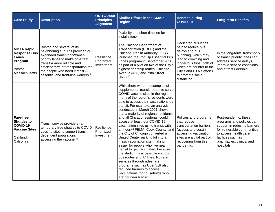| <b>Case Study</b>                                                                                    | <b>Description</b>                                                                                                                                                                                                                                                                           | <b>ON TO 2050</b><br><b>Principles</b><br><b>Alignment</b> | <b>Similar Efforts in the CMAP</b><br><b>Region</b>                                                                                                                                                                                                                                                                                                                                                                                                                                                                                                                                                                                                                                                                                                                                                                                                                                                    | <b>Benefits during</b><br><b>COVID-19</b>                                                                                                                                                                                           | <b>Long-term Benefits</b>                                                                                                                                                                                |
|------------------------------------------------------------------------------------------------------|----------------------------------------------------------------------------------------------------------------------------------------------------------------------------------------------------------------------------------------------------------------------------------------------|------------------------------------------------------------|--------------------------------------------------------------------------------------------------------------------------------------------------------------------------------------------------------------------------------------------------------------------------------------------------------------------------------------------------------------------------------------------------------------------------------------------------------------------------------------------------------------------------------------------------------------------------------------------------------------------------------------------------------------------------------------------------------------------------------------------------------------------------------------------------------------------------------------------------------------------------------------------------------|-------------------------------------------------------------------------------------------------------------------------------------------------------------------------------------------------------------------------------------|----------------------------------------------------------------------------------------------------------------------------------------------------------------------------------------------------------|
|                                                                                                      |                                                                                                                                                                                                                                                                                              |                                                            | flexibility and short timeline for<br>installation. <sup>8</sup>                                                                                                                                                                                                                                                                                                                                                                                                                                                                                                                                                                                                                                                                                                                                                                                                                                       |                                                                                                                                                                                                                                     |                                                                                                                                                                                                          |
| <b>MBTA Rapid</b><br><b>Response Bus</b><br>Lanes<br>Program<br>Boston,<br>Massachusetts             | Boston and several of its<br>neighboring suburbs provided or<br>expanded transit-only/transit-<br>priority lanes to make on-street<br>transit a more reliable and<br>efficient form of transportation for<br>the people who need it most -<br>essential and front-line workers. <sup>9</sup> | Resilience,<br>Prioritized<br>Investment                   | The Chicago Department of<br>Transportation (CDOT) and the<br>Chicago Transit Authority (CTA)<br>launched the Pop Up Essential Bus<br>Lanes program in September 2020,<br>as part of a pilot on two of the City's<br>highest ridership routes, Chicago<br>Avenue (#66) and 79th Street<br>(#79). <sup>10</sup>                                                                                                                                                                                                                                                                                                                                                                                                                                                                                                                                                                                         | Dedicated bus lanes<br>help to reduce bus<br>delays and bus<br>bunching, which may<br>lead to crowding and<br>longer bus trips, both of<br>which are counter to the<br>City's and CTA's efforts<br>to promote social<br>distancing. | In the long-term, transit-only<br>or transit priority lanes can<br>address service delays,<br>improve service conditions,<br>and attract ridership.                                                      |
| <b>Fare-free</b><br><b>Shuttles to</b><br>COVID-19<br><b>Vaccine Sites</b><br>Oakland,<br>California | Transit service providers ran<br>temporary free shuttles to COVID<br>vaccine sites to support transit<br>dependent populations in<br>accessing the vaccine. <sup>11</sup>                                                                                                                    | Resilience,<br>Prioritized<br>Investment                   | While there were no examples of<br>supplemental transit routes to serve<br>COVID vaccine sites in the region,<br>many of the region's residents were<br>able to access their vaccinations by<br>transit. For example, an analysis<br>conducted in March 2021 shows<br>that a majority of regional residents,<br>and all Chicago residents, could<br>access at least four COVID-19<br>vaccination sites using transit within<br>an hour. <sup>12</sup> FEMA, Cook County, and<br>the City of Chicago converted a<br>United Center parking lot into a<br>mass vaccination site, making it<br>easier for people who live near<br>transit to get vaccinated, because<br>the stadium is accessible via four<br>bus routes and 'L' lines. No-fare<br>services through rideshare<br>programs such as Uber/Lyft also<br>reduced barriers to access<br>vaccinations for households who<br>are not near transit. | Policies and programs<br>that reduce<br>transportation barriers<br>(access and cost) in<br>accessing vaccination<br>sites are a vital part of<br>recovering from this<br>pandemic.                                                  | Post-pandemic, these<br>programs and policies can<br>support in reducing barriers<br>for vulnerable communities<br>to access health care<br>facilities such as<br>pharmacies, clinics, and<br>hospitals. |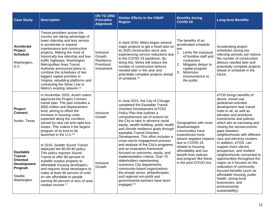| <b>Case Study</b>                                                                                                 | <b>Description</b>                                                                                                                                                                                                                                                                                                                                                                                                                                                                                                    | <b>ON TO 2050</b><br><b>Principles</b><br><b>Alignment</b>       | <b>Similar Efforts in the CMAP</b><br><b>Region</b>                                                                                                                                                                                                                                                                                                                                                                                                    | <b>Benefits during</b><br><b>COVID-19</b>                                                                                                                                                                                  | <b>Long-term Benefits</b>                                                                                                                                                                                                                                                                                                                                                        |
|-------------------------------------------------------------------------------------------------------------------|-----------------------------------------------------------------------------------------------------------------------------------------------------------------------------------------------------------------------------------------------------------------------------------------------------------------------------------------------------------------------------------------------------------------------------------------------------------------------------------------------------------------------|------------------------------------------------------------------|--------------------------------------------------------------------------------------------------------------------------------------------------------------------------------------------------------------------------------------------------------------------------------------------------------------------------------------------------------------------------------------------------------------------------------------------------------|----------------------------------------------------------------------------------------------------------------------------------------------------------------------------------------------------------------------------|----------------------------------------------------------------------------------------------------------------------------------------------------------------------------------------------------------------------------------------------------------------------------------------------------------------------------------------------------------------------------------|
| <b>Accelerate</b><br>Project<br><b>Schedule</b><br>Washington,<br>D.C.                                            | Transit providers across the<br>country are taking advantage of<br>lower ridership and less service<br>to accelerate or expand<br>maintenance and construction<br>projects. Making the most of<br>historically low ridership and low-<br>traffic highways, Washington<br>Metropolitan Area Transit<br>Authority announced plans to<br>combine the schedules of two<br>biggest capital priorities in<br>Virginia: rebuilding platforms and<br>connecting the Silver Line to<br>Metro's existing network. <sup>13</sup> | Inclusive<br>Growth,<br>Resilience,<br>Prioritized<br>Investment | In April 2020, Metra began several<br>major projects to get a head start on<br>its 2020 construction since was<br>experiencing service reductions due<br>to the COVID-19 pandemic. By<br>doing this, Metra will reduce the<br>number of construction detours<br>needed later in the year and<br>potentially complete projects ahead<br>of schedule. <sup>14</sup>                                                                                      | The benefits of an<br>accelerated schedule<br>are:<br>Limits the exposure<br>1.<br>of frontline staff and<br>contractors<br>2. Mitigates delays to<br>capital program<br>3.<br>Minimizes<br>inconvenience to<br>the public | Accelerating project<br>schedules during low<br>ridership periods can reduce<br>the number of construction<br>detours needed later and<br>potentially complete projects<br>ahead of schedule in the<br>future.                                                                                                                                                                   |
| Project<br><b>Connect</b><br>Austin, Texas                                                                        | In November 2020, Austin voters<br>approved the Project Connect<br>transit plan. The plan includes a<br>\$300 million anti-displacement<br>fund, aiming to offset the<br>increase in housing costs<br>expected along the corridors<br>served by new rail and rapid bus<br>routes. This makes it the largest<br>program of its kind to be<br>launched in the U.S. <sup>15</sup>                                                                                                                                        | Inclusive<br>Growth                                              | In June 2021, the City of Chicago<br>completed the Equitable Transit-<br>Oriented Development (eTOD)<br>Policy Plan that outlines a<br>comprehensive set of actions for<br>the City to take to advance racial<br>Geographies with more<br>equity, wealth building, public health<br>disadvantaged<br>and climate resilience goals through<br>communities have<br>equitable Transit-Oriented<br>experienced more<br>Development. This effort includes a |                                                                                                                                                                                                                            | eTOD brings benefits of<br>dense, mixed-use,<br>pedestrian-oriented<br>development near transit<br>hubs to all, as well as<br>elevates and prioritizes<br>investments and policies<br>which aim at narrowing and<br>closing the socioeconomic<br>gaps between<br>neighborhoods with different                                                                                    |
| <b>Equitable</b><br><b>Transit-</b><br><b>Oriented</b><br><b>Development</b><br>Program<br>Seattle,<br>Washington | In 2016, Seattle Sound Transit<br>deployed the 80-80-80 policy.<br>This policy requires Sound<br>Transit to offer 80 percent of<br>suitable surplus property to<br>affordable housing developers,<br>and requires those developers to<br>make at least 80 percent of units<br>on site affordable to people<br>earning 80 percent or less of area<br>median income. <sup>17</sup>                                                                                                                                      | Inclusive<br>Growth                                              | cross-sector engagement process<br>and analysis of the City's programs,<br>and an evaluation framework<br>focused on outcomes, equity, and<br>implementation criteria. Over 70<br>stakeholders representing<br>numerous City departments,<br>community-based organizations,<br>the private sector, philanthropies,<br>and regional non-profit and<br>governmental partners have been<br>engaged. <sup>16</sup>                                         | severe negative impacts<br>due to COVID-19<br>related to housing<br>affordability and can<br>benefit from policies<br>and program like these<br>in the post-COVID era.                                                     | race and ethnicity clusters.<br>In addition, eTOD can<br>support more vibrant,<br>prosperous, and resilient<br>neighborhoods connected to<br>opportunities throughout the<br>region as it focuses on the<br>realization of community-<br>focused benefits (such as<br>affordable housing, public<br>health, strong local<br>businesses, and<br>environmental<br>sustainability). |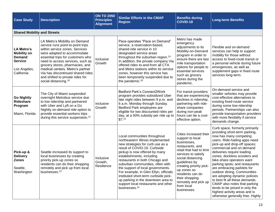| <b>Case Study</b>                                                                                        | <b>Description</b>                                                                                                                                                                                                                                                                                                                                                                               | <b>ON TO 2050</b><br><b>Principles</b><br><b>Alignment</b> | <b>Similar Efforts in the CMAP</b><br><b>Region</b>                                                                                                                                                                                                                                                                                                                                                                                                                                                        | <b>Benefits during</b><br><b>COVID-19</b>                                                                                                                                                                                                                                                                   | <b>Long-term Benefits</b>                                                                                                                                                                                                                                                                                                                                                                                                                                                                                                                                                                  |
|----------------------------------------------------------------------------------------------------------|--------------------------------------------------------------------------------------------------------------------------------------------------------------------------------------------------------------------------------------------------------------------------------------------------------------------------------------------------------------------------------------------------|------------------------------------------------------------|------------------------------------------------------------------------------------------------------------------------------------------------------------------------------------------------------------------------------------------------------------------------------------------------------------------------------------------------------------------------------------------------------------------------------------------------------------------------------------------------------------|-------------------------------------------------------------------------------------------------------------------------------------------------------------------------------------------------------------------------------------------------------------------------------------------------------------|--------------------------------------------------------------------------------------------------------------------------------------------------------------------------------------------------------------------------------------------------------------------------------------------------------------------------------------------------------------------------------------------------------------------------------------------------------------------------------------------------------------------------------------------------------------------------------------------|
| <b>Shared Mobility and Streets</b>                                                                       |                                                                                                                                                                                                                                                                                                                                                                                                  |                                                            |                                                                                                                                                                                                                                                                                                                                                                                                                                                                                                            |                                                                                                                                                                                                                                                                                                             |                                                                                                                                                                                                                                                                                                                                                                                                                                                                                                                                                                                            |
| <b>LA Metro's</b><br><b>Mobility on</b><br><b>Demand</b><br><b>Service</b><br>Los Angeles,<br>California | LA Metro's Mobility on Demand<br>service runs point-to-point trips<br>within service zones. Services<br>were adapted to accommodate<br>essential trips for customers who<br>need to access services, such as<br>grocery stores, pharmacies, and<br>medical centers. Metro's partner<br>Via has discontinued shared rides<br>and shifted to private rides for<br>social distancing. <sup>18</sup> | Inclusive<br>Growth                                        | Pace operates "Pace on Demand"<br>service, a reservation-based,<br>shared-ride service in 10<br>designated service areas<br>throughout the suburban region. <sup>19</sup><br>In addition, the private company Via<br>offered rides to-and-from all CTA<br>and Metra stations within its service<br>zones, however this service has<br>been temporarily suspended due to<br>the pandemic. <sup>20</sup>                                                                                                     | Metro has made<br>emergency<br>adjustments to its<br>Mobility-on-Demand<br>program in order to<br>ensure there are last<br>mile transportation<br>options for people to<br>essential services<br>such as grocery<br>stores during the<br>pandemic.                                                          | Flexible and on-demand<br>services can help to support<br>mobility for those without<br>access to fixed-route transit or<br>a personal vehicle during future<br>emergencies, as well as<br>supplement gaps in fixed route<br>services long-term.                                                                                                                                                                                                                                                                                                                                           |
| <b>Go Nightly</b><br>Rideshare<br>Program<br>Miami, Florida                                              | The City of Miami suspended<br>overnight Metrobus service due<br>to low ridership and partnered<br>with Uber and Lyft on a Go<br>Nightly on-demand ride option to<br>provide essential workers trips<br>during this service suspension. <sup>21</sup>                                                                                                                                            | Inclusive<br>Growth                                        | <b>Bedford Park's Connect2Work</b><br>program provides subsidized Uber<br>late night rides between 9 p.m. and<br>6 a.m. Monday through Sunday.<br>Bedford Park employees are<br>eligible for two discounted rides per<br>day, at a 50% subsidy per ride up to<br>\$7. <sup>22</sup>                                                                                                                                                                                                                        | For transit providers<br>that are experiencing<br>declines in ridership,<br>partnering with ride-<br>share companies<br>during non-peak<br>hours can be a cost-<br>effective option.                                                                                                                        | On-demand service and<br>smaller vehicles may provide<br>cost-effective alternatives to<br>existing fixed-route service<br>during some low-ridership<br>periods. Partnerships can also<br>provide transportation providers<br>with more flexibility if service<br>demands change.                                                                                                                                                                                                                                                                                                          |
| Pick-up &<br><b>Delivery</b><br><b>Zones</b><br>Seattle,<br>Washington                                   | Seattle increased its support to<br>local businesses by creating<br>priority pick-up zones so<br>residents can do their shopping<br>remotely and pick up from local<br>businesses. <sup>23</sup>                                                                                                                                                                                                 | Inclusive<br>Growth,<br>Resilience                         | Local communities throughout<br>northeastern Illinois implemented<br>new strategies for curb use as a<br>result of COVID-19. Curbside<br>pickup is now offered by many<br>establishments, including<br>restaurants in both Chicago and<br>suburban communities, often with<br>the support of local governments.<br>For example, in Glen Ellyn, officials<br>instituted short-term curbside pick-<br>up parking in the downtown area to<br>support local restaurants and other<br>businesses. <sup>24</sup> | Cities increased their<br>support to local<br>businesses,<br>restaurants, and<br>retail that had to limit<br>services to satisfy<br>social distancing<br>guidelines by<br>creating priority pick-<br>up zones so<br>residents can do<br>their shopping<br>remotely and pick up<br>from local<br>businesses. | Curb space, formerly primarily<br>providing short-term parking,<br>now has many competing<br>users. Ride-hailing apps need<br>pick-up and drop-off spaces;<br>commercial and on-demand<br>deliveries require loading<br>zones; dockless scooters and<br>bike-share operators want<br>parking spots; and restaurants<br>are embracing parklets for<br>outdoor dining. Communities<br>are adopting dynamic policies<br>to best fit all these demands.<br>CMAP also notes that parking<br>tends to be priced in only the<br>highest activity areas and is<br>otherwise generally free. Highly |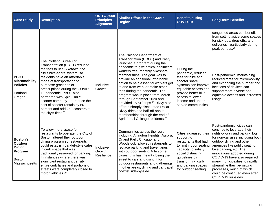| <b>Case Study</b>                                                                  | <b>Description</b>                                                                                                                                                                                                                                                                                                                                                                                                                               | <b>ON TO 2050</b><br><b>Principles</b><br><b>Alignment</b> | <b>Similar Efforts in the CMAP</b><br><b>Region</b>                                                                                                                                                                                                                                                                                                                                                                                                                                                                                                                                                                                       | <b>Benefits during</b><br><b>COVID-19</b>                                                                                                                                                                               | <b>Long-term Benefits</b>                                                                                                                                                                                                                                                                                                                                                                                                              |
|------------------------------------------------------------------------------------|--------------------------------------------------------------------------------------------------------------------------------------------------------------------------------------------------------------------------------------------------------------------------------------------------------------------------------------------------------------------------------------------------------------------------------------------------|------------------------------------------------------------|-------------------------------------------------------------------------------------------------------------------------------------------------------------------------------------------------------------------------------------------------------------------------------------------------------------------------------------------------------------------------------------------------------------------------------------------------------------------------------------------------------------------------------------------------------------------------------------------------------------------------------------------|-------------------------------------------------------------------------------------------------------------------------------------------------------------------------------------------------------------------------|----------------------------------------------------------------------------------------------------------------------------------------------------------------------------------------------------------------------------------------------------------------------------------------------------------------------------------------------------------------------------------------------------------------------------------------|
|                                                                                    |                                                                                                                                                                                                                                                                                                                                                                                                                                                  |                                                            |                                                                                                                                                                                                                                                                                                                                                                                                                                                                                                                                                                                                                                           |                                                                                                                                                                                                                         | congested areas can benefit<br>from setting aside some spaces<br>for pick-ups, drop-offs, and<br>deliveries - particularly during<br>peak periods. <sup>25</sup>                                                                                                                                                                                                                                                                       |
| <b>PBOT</b><br><b>Micromobility</b><br><b>Policies</b><br>Portland,<br>Oregon      | The Portland Bureau of<br>Transportation (PBOT) reduced<br>the fees to use Biketown, the<br>city's bike-share system, so<br>residents have an affordable<br>mode of transportation to<br>purchase groceries or<br>prescriptions during the COVID-<br>19 pandemic. PBOT also<br>partnered with Spin-an e-<br>scooter company-to reduce the<br>cost of scooter rentals by 50<br>percent and add 250 scooters to<br>the city's fleet. <sup>26</sup> | Inclusive<br>Growth                                        | The Chicago Department of<br>Transportation (CDOT) and Divvy<br>launched a program during the<br>pandemic to give critical healthcare<br>workers free, monthly bikeshare<br>memberships. The goal was to<br>provide an additional, affordable<br>option to help essential workers get<br>to and from work or make other<br>trips during the pandemic. The<br>program was in place from March<br>through September 2020 and<br>provided 15,619 trips. <sup>27</sup> Divvy also<br>offered sharply discounted Dollar<br>Divvy rides and half-off annual<br>memberships through the end of<br>April for all Chicago residents. <sup>28</sup> | During the<br>pandemic, reduced<br>fees for bike and<br>scooter share<br>systems can improve<br>equitable access and<br>provide better bike<br>access to lower-<br>income and under-<br>served communities.             | Post-pandemic, maintaining<br>reduced fares for micromobility<br>and expanding the number and<br>locations of devices can<br>support more diverse and<br>equitable access and increased<br>usage.                                                                                                                                                                                                                                      |
| <b>Boston's</b><br>Outdoor<br><b>Dining</b><br>Program<br>Boston,<br>Massachusetts | To allow more space for<br>restaurants to operate, the City of<br>Boston altered their outdoor<br>dining program so restaurants<br>could establish parklet-style cafes<br>in curb space that was<br>traditionally reserved for parking.<br>In instances where there was<br>significant restaurant density,<br>entire curb lanes and portions of<br>streets were completely closed to<br>motor vehicles. <sup>29</sup>                            | Inclusive<br>Growth,<br>Resilience                         | Communities across the region,<br>including Arlington Heights, Aurora,<br>Orland Park, Chicago, and<br>Woodstock, allowed restaurants to<br>replace parking and travel lanes<br>with outdoor seating. <sup>30</sup> In some<br>cases, this has meant closing the<br>street to cars and using it for<br>outdoor restaurants and gatherings.<br>In other areas, dining and car travel<br>coexist side-by-side.                                                                                                                                                                                                                              | Cities increased their<br>support to<br>restaurants that had<br>to limit indoor seating<br>capacity to satisfy<br>social distancing<br>guidelines by<br>transforming curb<br>and parking spaces<br>for outdoor seating. | Post-pandemic, cities can<br>continue to leverage their<br>rights-of-way and parking lots<br>for non-car uses, including both<br>outdoor dining and other<br>amenities like public seating,<br>bike parking, etc. The<br>innovations adopted during<br>COVID-19 have also required<br>many municipalities to rapidly<br>streamline their permitting<br>processes, much of which<br>could be continued even after<br>COVID-19 subsides. |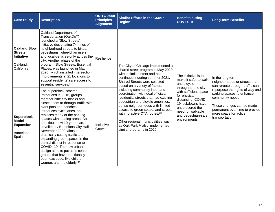| <b>Case Study</b>                                                                    | <b>Description</b>                                                                                                                                                                                                                                                                                                                                                                                                                                                                                                                                                                                                                       | <b>ON TO 2050</b><br><b>Principles</b><br><b>Alignment</b> | <b>Similar Efforts in the CMAP</b><br><b>Region</b>                                                                                                                                                                                                                                                                                                                                        | <b>Benefits during</b><br><b>COVID-19</b>                                                                                                                        | <b>Long-term Benefits</b>                                                                                                                                                                   |
|--------------------------------------------------------------------------------------|------------------------------------------------------------------------------------------------------------------------------------------------------------------------------------------------------------------------------------------------------------------------------------------------------------------------------------------------------------------------------------------------------------------------------------------------------------------------------------------------------------------------------------------------------------------------------------------------------------------------------------------|------------------------------------------------------------|--------------------------------------------------------------------------------------------------------------------------------------------------------------------------------------------------------------------------------------------------------------------------------------------------------------------------------------------------------------------------------------------|------------------------------------------------------------------------------------------------------------------------------------------------------------------|---------------------------------------------------------------------------------------------------------------------------------------------------------------------------------------------|
| <b>Oakland Slow</b><br><b>Streets</b><br><b>Initiative</b><br>Oakland,<br>California | Oakland Department of<br>Transportation (OakDoT)<br>launched a "Slow Streets"<br>initiative designating 74 miles of<br>neighborhood streets to bikes,<br>pedestrians, wheelchair users<br>and local-vehicles-only across the<br>city. Another phase of the<br>program, Slow Streets: Essential<br>Places, was launched in May<br>2020, which installed intersection<br>improvements at 21 locations to<br>support residents' safe access to<br>essential services. <sup>31</sup>                                                                                                                                                         | Resilience                                                 | The City of Chicago implemented a<br>shared street program in May 2020<br>with a similar intent and has<br>continued it during summer 2021.<br>Shared Streets were selected<br>based on a variety of factors                                                                                                                                                                               | The initiative is to<br>make it safer to walk<br>and bicycle<br>throughout the city,                                                                             | In the long term,<br>neighborhoods or streets that<br>can reroute through-traffic can                                                                                                       |
| <b>Superblock</b><br><b>Model</b><br><b>Expansion</b><br>Barcelona,<br>Spain         | The superblock scheme,<br>introduced in 2016, groups<br>together nine city blocks and<br>closes them to through-traffic with<br>plant pots and benches,<br>introduces cycle lanes, and<br>replaces many of the parking<br>spaces with seating areas. An<br>ambitious new 10-year plan,<br>unveiled by Barcelona City Hall in<br>November 2020, aims at<br>drastically cutting traffic and<br>expanding green spaces in the<br>central district in response to<br>COVID-19. The new urban<br>design aims to put at its center<br>groups that have traditionally<br>been excluded, like children,<br>women, and the elderly. <sup>34</sup> | Inclusive<br>Growth                                        | including community input and<br>coordination with local officials.<br>residential streets that had existing<br>pedestrian and bicycle amenities,<br>dense neighborhoods with limited<br>access to green space, and streets<br>with no active CTA routes. <sup>32</sup><br>Other regional municipalities, such<br>as Oak Park, <sup>33</sup> also implemented<br>similar programs in 2020. | with sufficient space<br>for physical<br>distancing. COVID-<br>19 lockdowns have<br>underscored the<br>need for walkable<br>and pedestrian-safe<br>environments. | repurpose the rights of way and<br>parking spaces to enhance<br>community needs.<br>These changes can be made<br>permanent over time to provide<br>more space for active<br>transportation. |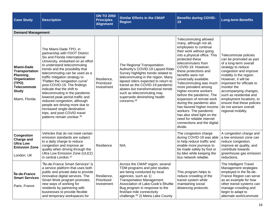| <b>Case Study</b>                                                                                                                              | <b>Description</b>                                                                                                                                                                                                                                                                                                                                                                                                                                                                                                                                                                                                  | <b>ON TO 2050</b><br><b>Principles</b><br><b>Alignment</b> | <b>Similar Efforts in the CMAP</b><br><b>Region</b>                                                                                                                                                                                                                                                                                                   | <b>Benefits during COVID-</b><br>19                                                                                                                                                                                                                                                                                                                                                                                                                                                                                                                                                                     | <b>Long-term Benefits</b>                                                                                                                                                                                                                                                                                                                                                             |  |  |  |  |  |
|------------------------------------------------------------------------------------------------------------------------------------------------|---------------------------------------------------------------------------------------------------------------------------------------------------------------------------------------------------------------------------------------------------------------------------------------------------------------------------------------------------------------------------------------------------------------------------------------------------------------------------------------------------------------------------------------------------------------------------------------------------------------------|------------------------------------------------------------|-------------------------------------------------------------------------------------------------------------------------------------------------------------------------------------------------------------------------------------------------------------------------------------------------------------------------------------------------------|---------------------------------------------------------------------------------------------------------------------------------------------------------------------------------------------------------------------------------------------------------------------------------------------------------------------------------------------------------------------------------------------------------------------------------------------------------------------------------------------------------------------------------------------------------------------------------------------------------|---------------------------------------------------------------------------------------------------------------------------------------------------------------------------------------------------------------------------------------------------------------------------------------------------------------------------------------------------------------------------------------|--|--|--|--|--|
|                                                                                                                                                | <b>Demand Management</b>                                                                                                                                                                                                                                                                                                                                                                                                                                                                                                                                                                                            |                                                            |                                                                                                                                                                                                                                                                                                                                                       |                                                                                                                                                                                                                                                                                                                                                                                                                                                                                                                                                                                                         |                                                                                                                                                                                                                                                                                                                                                                                       |  |  |  |  |  |
| <b>Miami-Dade</b><br><b>Transportation</b><br><b>Planning</b><br>Organization<br>(TPO)<br><b>Telecommute</b><br><b>Study</b><br>Miami, Florida | The Miami-Dade TPO, in<br>partnership with FDOT District<br>Six and Florida International<br>University, embarked on an effort<br>to understand telecommuting<br>trends and the possibility that<br>telecommuting can be used as a<br>traffic mitigation strategy to<br>"Flatten the congestion curve"<br>post-COVID-19. The findings<br>indicate that the shift to<br>telecommuting in the pandemic<br>lowered peak period traffic and<br>reduced congestion, although<br>people are driving more due to<br>increased single-destination<br>trips, and post-COVID travel<br>patterns remain unclear. <sup>35</sup> | Resilience,<br>Prioritized<br>Investment                   | The Regional Transportation<br>Authority's COVID-19 Lapsed Rider<br>Survey highlights trends related to<br>telecommuting in the region. Many<br>lapsed riders expected to return to<br>transit as the COVID-19 pandemic<br>abates but transformational trends<br>such as telecommuting may<br>supersede diminishing health<br>concerns. <sup>36</sup> | Telecommuting allowed<br>many, although not all,<br>employees to continue<br>their work without going<br>into a physical office. This<br>protected these<br>telecommuters from<br>COVID-19. However,<br>these protections and<br>benefits were not<br>universally available.<br>Telecommuting was much<br>more prevalent among<br>higher-income workers<br>before the pandemic. The<br>expansion of remote work<br>during the pandemic also<br>has favored higher-income<br>workers. The pandemic<br>has also shed light on the<br>need for reliable internet<br>connections and the digital<br>divide. | Telecommute policies<br>can be promoted as part<br>of a long-term overall<br>strategy to reduce<br>congestion and improve<br>mobility in the region.<br>However, it will be<br>important for officials to<br>monitor the<br>accompanying changes,<br>such as residential and<br>employment locations, to<br>ensure that these policies<br>do not worsen overall<br>regional mobility. |  |  |  |  |  |
| <b>Congestion</b><br><b>Charge and</b><br><b>Ultra Low</b><br><b>Emission Zone</b><br>London, UK                                               | Vehicles that do not meet certain<br>emission standards are subject<br>to a daily charge to reduce<br>congestion and improve air<br>quality when driving through the<br>Ultra Low Emission Zone (ULEZ)<br>in central London. <sup>37</sup>                                                                                                                                                                                                                                                                                                                                                                          | Resilience                                                 | $N/A$ .                                                                                                                                                                                                                                                                                                                                               | The congestion charge<br>during COVID-19 was able<br>to help reduce traffic and<br>enable more journeys to<br>be made safely by foot or<br>by bike while keeping the<br>bus network reliable.                                                                                                                                                                                                                                                                                                                                                                                                           | A congestion charge and<br>a low emission zone can<br>reduce congestion,<br>improve air quality, and<br>contribute towards<br>greenhouse gas emission<br>reductions.                                                                                                                                                                                                                  |  |  |  |  |  |
| lle-de-France<br><b>Smart Services</b><br>Paris, France                                                                                        | "Île-de-France Smart Services" is<br>a service platform that uses both<br>public and private data to provide<br>innovative digital services. The<br>Smart Work program promotes<br>new ways of working for<br>residents by partnering with<br>businesses to provide flexible<br>and temporary workspaces for                                                                                                                                                                                                                                                                                                        | Resilience,<br>Prioritized<br>Investment                   | Across the CMAP region, several<br>TDM programs and pilot studies<br>are being conducted by local<br>agencies, such as 1)<br><b>Transportation Management</b><br>Association of Lake-Cook's Shuttle<br>Bug program in response to the<br>first/last mile connectivity<br>challenge. <sup>39</sup> 2) Metra Lake County                                | This program helps to<br>reduce crowding of the<br>transit system while<br>maintaining social<br>distancing protocols.                                                                                                                                                                                                                                                                                                                                                                                                                                                                                  | The Intelligent Travel<br>Management strategies<br>employed in the Ile-de-<br>France Region can serve<br>as an example for how<br>other transit systems can<br>manage crowding and<br>begin to adapt to<br>alternate work/commute                                                                                                                                                     |  |  |  |  |  |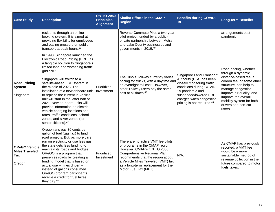| <b>Case Study</b>                                                     | <b>Description</b>                                                                                                                                                                                                                                                                                                                                                                                                                                                                                                                                                                                     | <b>ON TO 2050</b><br><b>Principles</b><br><b>Alignment</b> | <b>Similar Efforts in the CMAP</b><br><b>Region</b>                                                                                                                                                                                                                         | <b>Benefits during COVID-</b><br>19                                                                                                                                                                                             | <b>Long-term Benefits</b>                                                                                                                                                                                                                                        |
|-----------------------------------------------------------------------|--------------------------------------------------------------------------------------------------------------------------------------------------------------------------------------------------------------------------------------------------------------------------------------------------------------------------------------------------------------------------------------------------------------------------------------------------------------------------------------------------------------------------------------------------------------------------------------------------------|------------------------------------------------------------|-----------------------------------------------------------------------------------------------------------------------------------------------------------------------------------------------------------------------------------------------------------------------------|---------------------------------------------------------------------------------------------------------------------------------------------------------------------------------------------------------------------------------|------------------------------------------------------------------------------------------------------------------------------------------------------------------------------------------------------------------------------------------------------------------|
|                                                                       | residents through an online<br>booking system. It is aimed at<br>providing flexibility for employees<br>and easing pressure on public<br>transport at peak hours. <sup>38</sup>                                                                                                                                                                                                                                                                                                                                                                                                                        |                                                            | Reverse Commute Pilot: a two-year<br>pilot project funded by a public-<br>private partnership between Metra<br>and Lake County businesses and<br>governments in 2019.40                                                                                                     |                                                                                                                                                                                                                                 | arrangements post-<br>pandemic                                                                                                                                                                                                                                   |
| <b>Road Pricing</b><br><b>System</b><br>Singapore                     | In 1998, Singapore launched the<br>Electronic Road Pricing (ERP) as<br>a tangible solution to Singapore's<br>limited land and worsening traffic<br>gridlock. <sup>41</sup><br>Singapore will switch to a<br>satellite-based ERP system in<br>the middle of 2023. The<br>installation of a new onboard unit<br>to replace the current in-vehicle<br>unit will start in the latter half of<br>2021. New on-board units will<br>provide information on electric<br>vehicle charging locations and<br>rates, traffic conditions, school<br>zones, and silver zones (for<br>senior citizens). <sup>42</sup> | Prioritized<br>Investment                                  | The Illinois Tollway currently varies<br>pricing for trucks, with a daytime and<br>an overnight toll cost. However,<br>other Tollway users pay the same<br>cost at all times. <sup>43</sup>                                                                                 | Singapore Land Transport<br>Authority (LTA) has been<br>closely monitoring traffic<br>conditions during COVID-<br>19 pandemic and<br>suspended/lowered ERP<br>charges when congestion<br>pricing is not required. <sup>44</sup> | Road pricing, whether<br>through a dynamic<br>distance-based fee, a<br>cordon fee, or some other<br>structure, can help to<br>manage congestion,<br>improve air quality, and<br>improve the overall<br>mobility system for both<br>drivers and non-car<br>users. |
| <b>OReGO Vehicle</b><br><b>Miles Traveled</b><br><b>Tax</b><br>Oregon | Oregonians pay 36 cents per<br>gallon of fuel (gas tax) to fund<br>road projects. But, as more cars<br>run on electricity or use less gas,<br>the state gets less funding to<br>maintain its roads and bridges.<br>OReGO is a program that<br>preserves roads by creating a<br>funding model that is based on<br>actual use - miles driven -<br>instead of gallons consumed.<br>OReGO program participants<br>receive a credit for fuel taxes<br>they pay. <sup>45</sup>                                                                                                                               | Prioritized<br>Investment                                  | There are no active VMT fee pilots<br>or programs in the CMAP region.<br>However, CMAP's ON TO 2050<br>Comprehensive Regional Plan<br>recommends that the region adopt<br>a Vehicle Miles Traveled (VMT) tax<br>as a long-term replacement for the<br>Motor Fuel Tax (MFT). | $N/A$ .                                                                                                                                                                                                                         | As CMAP has previously<br>reported, a VMT fee<br>would be a more<br>sustainable method of<br>revenue collection in the<br>future compared to motor<br>fuels taxes.                                                                                               |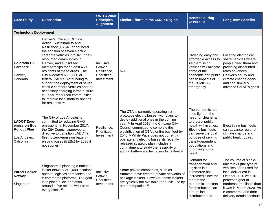| <b>Case Study</b>                                                                       | <b>Description</b>                                                                                                                                                                                                                                                                                                                                                                                                                                                                                                                                                        | <b>ON TO 2050</b><br><b>Principles</b><br><b>Alignment</b>       | <b>Similar Efforts in the CMAP Region</b>                                                                                                                                                                                                                                                                                                                                                                                                                                                           | <b>Benefits during</b><br><b>COVID-19</b>                                                                                                                                                                                                             | <b>Long-term Benefits</b>                                                                                                                                                                                                                                     |
|-----------------------------------------------------------------------------------------|---------------------------------------------------------------------------------------------------------------------------------------------------------------------------------------------------------------------------------------------------------------------------------------------------------------------------------------------------------------------------------------------------------------------------------------------------------------------------------------------------------------------------------------------------------------------------|------------------------------------------------------------------|-----------------------------------------------------------------------------------------------------------------------------------------------------------------------------------------------------------------------------------------------------------------------------------------------------------------------------------------------------------------------------------------------------------------------------------------------------------------------------------------------------|-------------------------------------------------------------------------------------------------------------------------------------------------------------------------------------------------------------------------------------------------------|---------------------------------------------------------------------------------------------------------------------------------------------------------------------------------------------------------------------------------------------------------------|
| <b>Technology Deployment</b>                                                            |                                                                                                                                                                                                                                                                                                                                                                                                                                                                                                                                                                           |                                                                  |                                                                                                                                                                                                                                                                                                                                                                                                                                                                                                     |                                                                                                                                                                                                                                                       |                                                                                                                                                                                                                                                               |
| <b>Colorado EV</b><br><b>Carshare</b><br>Denver,<br>Colorado                            | Denver's Office of Climate<br>Action, Sustainability and<br>Resiliency (CASR) announced<br>the addition of seven electric<br>carshare vehicles into six under-<br>resourced communities in<br>Denver, and subsidized<br>memberships for at least 450<br>residents of these areas. The<br>City allocated \$300,000 of<br>federal CARES Act funding to<br>support the deployment of seven<br>electric carshare vehicles and the<br>necessary charging infrastructure<br>in under-resourced communities<br>to improve local mobility options<br>for residents. <sup>46</sup> | Inclusive<br>Growth,<br>Resilience,<br>Prioritized<br>Investment | $N/A$ .                                                                                                                                                                                                                                                                                                                                                                                                                                                                                             | Providing easy and<br>affordable access to<br>zero-emission<br>vehicles will mitigate<br>some of the<br>economic and public<br>health impacts of<br>the COVID-19<br>emergency.                                                                        | Locating electric car<br>share vehicles where<br>people need them and<br>providing discounted<br>rates advances<br>Denver's equity and<br>climate change goals<br>and can similarly<br>advance CMAP's goals.                                                  |
| <b>LADOT Zero-</b><br>emission Bus<br><b>Rollout Plan</b><br>Los Angeles,<br>California | The City of Los Angeles is<br>committed to reducing GHG<br>emissions. In November 2017,<br>the City Council approved a<br>directive to transition LADOT's<br>fleet to zero-emission battery-<br>electric buses (BEBs) by 2030 if<br>not sooner. <sup>47</sup>                                                                                                                                                                                                                                                                                                             | Resilience,<br>Prioritized<br>Investment                         | The CTA is currently operating six<br>prototype electric buses, with plans to<br>deploy additional ones in the coming<br>year. <sup>48</sup> In April 2019, the Chicago City<br>Council committed to complete the<br>electrification of CTA's entire bus fleet by<br>2040.49 While Pace does not currently<br>operate any electric buses, its recently<br>released strategic plan includes a<br>commitment to study the feasibility of<br>adding battery electric buses to its fleet. <sup>50</sup> | The pandemic has<br>shed light on the<br>need for cleaner air<br>to protect public<br>health within cities.<br>Electric bus fleets<br>can serve the dual<br>purpose of serving<br>transit-dependent<br>populations and<br>improving public<br>health. | Electrifying bus fleets<br>can advance regional<br>climate change and<br>public health goals.                                                                                                                                                                 |
| <b>Parcel Locker</b><br><b>Network</b><br>Singapore                                     | Singapore is planning a national<br>locker network of 1,000 locations<br>open to logistics companies and<br>e-commerce platforms. The goal<br>is to place a locker station<br>around a five minute walk from<br>every block. <sup>51</sup>                                                                                                                                                                                                                                                                                                                                | Inclusive<br>Growth,<br>Prioritized<br>Investment                | Some private companies, such as<br>Amazon, have created private networks of<br>package lockers. However, these lockers<br>are typically not available for public use by<br>other companies. <sup>52</sup>                                                                                                                                                                                                                                                                                           | Demand for<br>transportation and<br>logistics in e-<br>commerce has<br>increased since the<br>start of the<br>pandemic. Lockers<br>for distribution can<br>streamline<br>distribution and                                                             | The volume of single-<br>unit trucks (the type of<br>vehicles often used for<br>local deliveries) in<br>October 2020 was 10<br>percent higher in<br>northeastern Illinois than<br>it was in March 2020. As<br>e-commerce and door<br>delivery trends continue |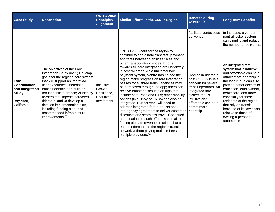<span id="page-18-0"></span>

| <b>Case Study</b>                                                                  | <b>Description</b>                                                                                                                                                                                                                                                                                                                                                                                                                         | <b>ON TO 2050</b><br><b>Principles</b><br><b>Alignment</b>       | <b>Similar Efforts in the CMAP Region</b>                                                                                                                                                                                                                                                                                                                                                                                                                                                                                                                                                                                                                                                                                                                                                                                                                                                                                                                                         | <b>Benefits during</b><br>COVID-19                                                                                                                                                                    | <b>Long-term Benefits</b>                                                                                                                                                                                                                                                                                                                                                             |
|------------------------------------------------------------------------------------|--------------------------------------------------------------------------------------------------------------------------------------------------------------------------------------------------------------------------------------------------------------------------------------------------------------------------------------------------------------------------------------------------------------------------------------------|------------------------------------------------------------------|-----------------------------------------------------------------------------------------------------------------------------------------------------------------------------------------------------------------------------------------------------------------------------------------------------------------------------------------------------------------------------------------------------------------------------------------------------------------------------------------------------------------------------------------------------------------------------------------------------------------------------------------------------------------------------------------------------------------------------------------------------------------------------------------------------------------------------------------------------------------------------------------------------------------------------------------------------------------------------------|-------------------------------------------------------------------------------------------------------------------------------------------------------------------------------------------------------|---------------------------------------------------------------------------------------------------------------------------------------------------------------------------------------------------------------------------------------------------------------------------------------------------------------------------------------------------------------------------------------|
|                                                                                    |                                                                                                                                                                                                                                                                                                                                                                                                                                            |                                                                  |                                                                                                                                                                                                                                                                                                                                                                                                                                                                                                                                                                                                                                                                                                                                                                                                                                                                                                                                                                                   | facilitate contactless<br>deliveries.                                                                                                                                                                 | to increase, a vendor-<br>neutral locker system<br>can simplify and reduce<br>the number of deliveries.                                                                                                                                                                                                                                                                               |
| Fare<br>Coordination<br>and Integration<br><b>Study</b><br>Bay Area,<br>California | The objectives of the Fare<br>Integration Study are 1) Develop<br>goals for the regional fare system<br>that will support an improved<br>user experience, increased<br>transit ridership and build on<br>robust public outreach; 2) identify<br>barriers that impede increased<br>ridership; and 3) develop a<br>detailed implementation plan,<br>including funding plan, and<br>recommended infrastructure<br>improvements. <sup>53</sup> | Inclusive<br>Growth,<br>Resilience,<br>Prioritized<br>Investment | ON TO 2050 calls for the region to<br>continue to coordinate transfers, payment,<br>and fares between transit services and<br>other transportation modes. Efforts<br>towards full fare integration are underway<br>in several areas. As a universal fare<br>payment system, Ventra has helped the<br>region make progress on fare integration:<br>passes for all three transit agencies may<br>be purchased through the app; riders can<br>receive transfer discounts on trips that<br>include both Pace and CTA; other mobility<br>options (like Divvy or TNCs) can also be<br>integrated. Further work will need to<br>address integrated fare products and<br>interagency agreement to deliver customer<br>discounts and seamless travel. Continued<br>coordination on such efforts is crucial to<br>finding ultimate revenue solutions that can<br>enable riders to use the region's transit<br>network without paying multiple fares to<br>multiple providers. <sup>54</sup> | Decline in ridership<br>post COVID-19 is a<br>concern for several<br>transit operators. An<br>integrated fare<br>system that is<br>intuitive and<br>affordable can help<br>attract more<br>ridership. | An integrated fare<br>system that is intuitive<br>and affordable can help<br>attract more ridership in<br>the long run. It can also<br>provide better access to<br>education, employment,<br>healthcare, and more,<br>especially for those<br>residents of the region<br>that rely on transit<br>because of its low costs<br>relative to those of<br>owning a personal<br>automobile. |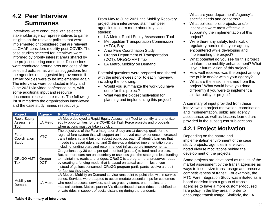## **4.2 Peer Interview Summaries**

Interviews were conducted with selected stakeholder agency representatives to gather insights on the relevant policies that were implemented or considered that are relevant as CMAP considers mobility post-COVID. The case studies selected for interviews were informed by priority interest areas shared by the project steering committee. Discussions were conducted around pros and cons of the selected policies, as well as suggestions from the agencies on suggested improvements if similar policies were to be implemented again. The interviews were conducted in May and June 2021 via video conference calls, with some additional input and resource documents received in e-mails. The following list summarizes the organizations interviewed and the case study names respectively.

From May to June 2021, the Mobility Recovery project team interviewed staff from peer agencies to learn more about key case studies:

- LA Metro, Rapid Equity Assessment Tool
- Metropolitan Transportation Commission (MTC), Bay
- Area Fare Coordination Study
- Oregon Department of Transportation (DOT), OReGO VMT Tax
- LA Metro, Mobility on Demand

Potential questions were prepared and shared with the interviewees prior to each interview. including the following:

- Would you summarize the work you have done for this project?
- What was the biggest motivation for planning and implementing this project?

| <b>Project</b>                            | <b>Agency</b> | <b>Project Description</b>                                                                                                                                                                                                                                                                                                                                                                                                       |  |  |
|-------------------------------------------|---------------|----------------------------------------------------------------------------------------------------------------------------------------------------------------------------------------------------------------------------------------------------------------------------------------------------------------------------------------------------------------------------------------------------------------------------------|--|--|
| <b>Rapid Equity</b><br>Assessment<br>Tool | LA Metro      | LA Metro deployed a Rapid Equity Assessment Tool to identify and prioritize<br>equity opportunities for the COVID-19 Task Force projects and proposals<br>when actions must be taken quickly.                                                                                                                                                                                                                                    |  |  |
| Fare<br>Coordination<br>Study             | <b>MTC</b>    | The objectives of the Fare Integration Study are 1) develop goals for the<br>regional fare system that will support an improved user experience, increased<br>transit ridership and build on robust public outreach, 2) identify barriers that<br>impede increased ridership, and 3) develop a detailed implementation plan,<br>including funding plan, and recommended infrastructure improvements.                             |  |  |
| OReGO VMT<br>Tax                          | Oregon<br>DOT | Oregonians pay 36 cents per gallon of fuel (gas tax) to fund road projects.<br>But, as more cars run on electricity or use less gas, the state gets less funding<br>to maintain its roads and bridges. OReGO is a program that preserves roads<br>by creating a funding model that is based on actual use - miles driven -<br>instead of gallons consumed. OReGO program participants receive a credit<br>for fuel tax they pay. |  |  |
| Mobility on<br>Demand                     | LA Metro      | LA Metro's Mobility on Demand service runs point-to-point trips within service<br>zones. Services were adapted to accommodate essential trips for customers<br>who need to access services, such as grocery stores, pharmacies, and<br>medical centers. Metro's partner Via discontinued shared rides and shifted to<br>private rides in support of social distancing during the pandemic.                                       |  |  |

What are your department's/agency's specific needs and concerns?

- What policies, pilot projects, and/or incentives were most effective in supporting the implementation of this project?
- Were there any safety, technical, or regulatory hurdles that your agency encountered while developing and implementing the project?
- What potential do you see for this project to inform the mobility enhancement? What is your future vision of this project?
- How well received was the project among the public and/or within your agency?
- What are the lessons learned from this project? What would have you done differently if you were to implement a similar policy or project?

A summary of input provided from these interviews on project motivation, coordination and implementation, public and agency acceptance, as well as lessons learned are provided in the subsequent sub-sections.

## <span id="page-19-0"></span>**4.2.1 Project Motivation**

Depending on the nature and implementation environment of the case study projects, agencies interviewed noted diverse motivations behind the development of the projects.

Some projects are developed as results of the market assessment by the transit agencies as ways to incentivize transit usage and preserve competitiveness of transit. For example, the MTC Fare Integration Study was initiated as a board decision from a group of transit agencies to have a more customer-focused fare policy in the Bay area in order to encourage transit usage. Similarly, the LA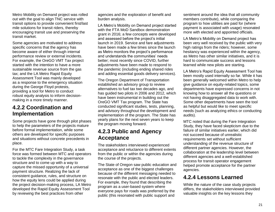Metro Mobility on Demand project was rolled out with the goal to align TNC service with transit options to provide convenient first/last mile solutions for transit riders, thereby encouraging transit use and preserving the transit market.

Some agencies are motivated to address specific concerns that the agency has become aware of either through internal performance review or external incidents. For example, the OreGO VMT Tax project started with the intention to have a more sustainable revenue source from the gas tax; and the LA Metro Rapid Equity Assessment Tool was mainly developed as a response to the emergency situation during the George Floyd protests, providing a tool for Metro to conduct robust equity analysis to inform decisionmaking in a more timely manner.

### <span id="page-20-0"></span>**4.2.2 Coordination and Implementation**

Some projects have gone through pilot phases to help the parameters of the projects mature before formal implementation, while some others are developed for specific purposes and situations without concrete precedents in place.

For the MTC Fare Integration Study, a task force was formed between MTC and operators to tackle the complexity in the governance structure and to come up with a way to capture the missed opportunity of a universal payment structure. Realizing the lack of consistent guidance, rules, and structure on how the equity lens could be applied during the project decision-making process, LA Metro developed the Rapid Equity Assessment Tool by reviewing the best practices from other

agencies and the exploration of benefit and burden analysis.

LA Metro's Mobility on Demand project started with the FTA MoD Sandbox demonstration grant in 2016; a few concepts were developed and assessed before the project's initial launch in 2019. Service and fare adjustments have been made a few times since the launch as Metro monitors the project's performance and understands the communities' needs better; most recently since COVID, further adjustments have been made to respond to the pandemic (including ending shared rides and adding essential goods delivery services).

The Oregon Department of Transportation established an advisory group to review alternatives to fuel tax two decades ago, and has guided two pilots in 2006 and 2012, which have been instrumental in building out the OreGO VMT Tax program. The State has conducted significant studies, tests, planning, and advisory throughout the development and implementation of the program. The State has yearly plans for the next seven years to keep the program moving forward.

### <span id="page-20-1"></span>**4.2.3 Public and Agency Acceptance**

The stakeholders interviewed experienced acceptance and reluctance to different extents from the public or within the agencies during the course of the projects.

The State of Oregon saw public education and acceptance as one of the biggest challenges because of the different messaging needed to resonate with the public and elected leaders. For example, they found that describing the program as a user-based system where everyone pays for roads was preferred by the public (this resonated with public support and

sentiment around the idea that all community members contribute), while comparing the program to how utilities are paid for (where payment is associated with usage) resonated more with elected and appointed officials.

LA Metro's Mobility on Demand project has been very well received by the public with very high ratings from the riders; however, some hesitancy was experienced within the agency, as Metro has other similar initiatives, and it is hard to communicate success and lessons learned while new pilots are starting.

LA Metro's Rapid Equity Assessment Tool has been mostly used internally so far. While it has been generally welcomed within Metro to help give guidance on equity-related topics, some departments have expressed concerns in not knowing how to answer all the questions or not having disaggregated data to work with. Some other departments have seen the tool as helpful but would like to meet specific needs (such as analyzing ethics or conducting audits).

MTC noted that during the Fare Integration Study, they have faced skepticism due to the failure of similar initiatives earlier, which did not succeed because of unrealistic requirements set without sufficient understanding of the revenue structure of different partner agencies. However, the collaboration at the leadership level between different agencies and a well-established process for transit operator engagement helped promote acceptance for the partner agencies.

## <span id="page-20-2"></span>**4.2.4 Lessons Learned**

While the nature of the case study projects differs, the stakeholders interviewed provided valuable insights on the key lessons they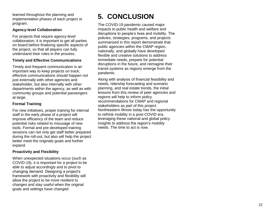learned throughout the planning and implementation phases of each project or program .

#### **Agency -level Collaboration**

For projects that require agency -level collaboration, it is important to get all parties on board before finalizing specific aspects of the project, so that all players can fully understand their roles in the process .

#### **Timely and Effective Communications**

Timely and frequent communication is an important way to keep projects on track; effective communications should happen not just externally with other agencies and stakeholder, but also internally with other departments within the agency, as well as with community groups and potential passengers at large.

#### **Formal Training**

For new initiatives, proper training for internal staff in the early phase of a project will improve efficiency of the team and reduce potential risks related to misusage of new tools. Formal and pre -developed training sessions can not only get staff better prepared during the roll -out, but also will help the project better meet the originals goals and further expand.

#### **Proactivity and Flexibility**

When unexpected situations occur (such as COVID -19), it is important for a project to be able to adjust accordingly and to pivot to changing demand. Designing a project's framework with proactivity and flexibility will allow the project to be more resilient to changes and stay useful when the original goals and settings have changed.

## <span id="page-21-0"></span>**5. CONCLUSION**

The COVID -19 pandemic caused major impacts to public health and welfare and disruptions to people's lives and mobility. The policies, strategies, programs, and projects summarized in this report demonstrate that public agencies within the CMAP region, nationally, and globally have developed flexible and creative solutions to address immediate needs, prepare for potential disruptions in the future, and reimagine their transit systems as regions emerge from the pandemic .

Along with analysis of financial feasibility and needs, ridership forecasting and scenario planning, and real estate trends, the initial lessons from this review of peer agencies and regions will help to inform policy recommendations for CMAP and regional stakeholders as part of this project . Northeastern Illinois today has the opportunity to rethink mobility in a post -COVID era, leveraging these national and global policy insights to address the region's mobility needs. The time to act is now.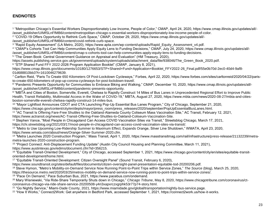#### <span id="page-22-0"></span>**ENDNOTES**

 $\overline{a}$ 

1 "Metropolitan Chicago's Essential Workers Disproportionately Low-Income, People of Color," CMAP, April 24, 2020, https://www.cmap.illinois.gov/updates/all/- /asset\_publisher/UIMfSLnFfMB6/content/metropolitan-chicago-s-essential-workers-disproportionately-low-income-people-of-color.

/asset\_publisher/UIMfSLnFfMB6/content/covid-rethink-curb-space.

4 "CMAP's Cohorts Tool Can Help Communities Apply Equity Lens to Funding Decisions," CMAP, July 24, 2020, https://www.cmap.illinois.gov/updates/all/-

/asset\_publisher/UIMfSLnFfMB6/content/cmap-s-cohorts-tool-can-help-communities-apply-equity-lens-to-funding-decisions.

5 "The Green Book: Central Government Guidance on Appraisal and Evaluation" (HM Treasury, 2020),

https://assets.publishing.service.gov.uk/government/uploads/system/uploads/attachment\_data/file/938046/The\_Green\_Book\_2020.pdf.

6 "STP Shared Fund FFY 2022-2026 Program Application Booklet" (CMAP, January 8, 2021),

<sup>7</sup> Carlton Reid, "Paris To Create 650 Kilometers Of Post-Lockdown Cycleways," Forbes, April 22, 2020, https://www.forbes.com/sites/carltonreid/2020/04/22/paristo-create-650-kilometers-of-pop-up-corona-cycleways-for-post-lockdown-travel/.

8 "Pandemic Presents Opportunity for Communities to Embrace Biking and Walking," CMAP, December 10, 2020, https://www.cmap.illinois.gov/updates/all/- /asset\_publisher/UIMfSLnFfMB6/content/pandemic-presents-opportunity.

9 "MBTA and Cities of Boston, Somerville, Everett, Chelsea to Rapidly Construct 14 Miles of Bus Lanes in Unprecedented Regional Effort to Improve Public Health, Transit Reliability, Multimodal Access in the Wake of COVID-19," MBTA, August 27, 2020, https://www.mbta.com/news/2020-08-27/mbta-and-citiesboston-somerville-everett-chelsea-rapidly-construct-14-miles-bus.

- <sup>10</sup> "Mayor Lightfoot Announces CDOT and CTA Launching Pop-Up Essential Bus Lanes Program," City of Chicago, September 21, 2020, https://www.chicago.gov/content/city/en/depts/mayor/press\_room/press\_releases/2020/september/PopUpEssentialBusLanes.html.
- <sup>11</sup> "AC Transit Is Offering Fare-Free Shuttles to the Oakland-Alameda County Coliseum Mass Vaccination Site," AC Transit, February 12, 2021, https://www.actransit.org/news/AC-Transit-Offering-Free-Shuttles-to-Oakland-Coliseum-Vaccination-Site.
- <sup>12</sup> Stephen Vance, "Most People in Chicagoland Can Access COVID Vaccination Sites via Transit," Streetsblog Chicago, March 17, 2021,

https://chi.streetsblog.org/2021/03/17/most-people-in-chicagoland-can-access-covid-vaccination-sites-via-transit/.

<sup>13</sup> "Metro to Use Upcoming Low-Ridership Summer to Maximum Effect, Expands Orange, Silver Line Shutdown," WMATA, April 23, 2020, https://www.wmata.com/about/news/Orange-Silver-Summer-2020.cfm.

<sup>14</sup> "Metra Launches 2020 Construction Program," Mass Transit, April 1, 2020, https://www.masstransitmag.com/rail/infrastructure/press-release/21132239/metrametra-launches-2020-construction-program.

<sup>15</sup> "Project Connect: Anti-Displacement Funding Update" (Austin City Council Housing and Planning Committee, March 11, 2021), https://www.austintexas.gov/edims/document.cfm?id=356215.

<sup>16</sup> "Equitable Transit-Oriented Development," City of Chicago, accessed September 1, 2021, https://www.chicago.gov/content/city/en/sites/equitable-transitoriented-development/home.html.

<sup>17</sup> "Equitable Transit-Oriented Development: Citizen Oversight Panel" (Sound Transit, February 6, 2020),

https://www.soundtransit.org/sites/default/files/documents/citizen-oversight-panel-presentation-equitable-tod-20200206.pdf.

<sup>18</sup> Steve Hymon, "Metro's Mobility-on-Demand Service Now Running Point-to-Point Trips within Service Zones," *The Source* (blog), March 25, 2020,

https://thesource.metro.net/2020/03/25/metros-mobility-on-demand-service-now-running-point-to-point-trips-within-service-zones/.

<sup>19</sup> "Pace On Demand," Pace Suburban Bus, 2021, https://www.pacebus.com/ondemand.

<sup>20</sup> Mary Wisniewski, "Via Ride-Share Temporarily Shuts down in Chicago," *Chicago Tribune*, May 8, 2020, https://www.chicagotribune.com/coronavirus/ctcoronavirus-chicago-via-ride-share-service-20200508-y4ri3xapxrczxgrphk53r77p74-story.html.

<sup>21</sup> "Go Nightly Service," Miami-Dade County, 2021, https://www.miamidade.gov/global/transportation/nightly-bus-service.page.

<sup>22</sup> "How It Works," Connect2Work: Get anywhere in Bedford Park, accessed September 1, 2021, https://connect2work.us/how-it-works.

<sup>2</sup> "COVID-19 Offers Opportunity to Rethink Curb Space," CMAP, October 29, 2020, https://www.cmap.illinois.gov/updates/all/-

<sup>3</sup> "Rapid Equity Assessment" (LA Metro, 2020), https://www.apta.com/wp-content/uploads/Rapid\_Equity\_Assessment\_v4.pdf.

https://www.cmap.illinois.gov/documents/10180/1276653/STP+Shared+Fund+Application+Booklet\_FFY2022-26\_Final.pdf/55e0b70d-2ec0-40d4-9af8- 01d688810bb3?t=1610046279639.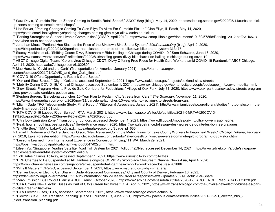<sup>23</sup> Sara Davis, "Curbside Pick-up Zones Coming to Seattle Retail Shops!," *SDOT Blog* (blog), May 14, 2020, https://sdotblog.seattle.gov/2020/05/14/curbside-pickup-zones-coming-to-seattle-retail-shops/.

<sup>24</sup> Lisa Farver, "Parking Changes Coming To Glen Ellyn To Allow For Curbside Pickup," Glen Ellyn, IL Patch, May 14, 2020,

https://patch.com/illinois/glenellyn/parking-changes-coming-glen-ellyn-allow-curbside-pickup.

<sup>25</sup> "Parking Strategies to Support Livable Communities" (CMAP, April 2012), https://www.cmap.illinois.gov/documents/10180/57858/Parking+2012.pdf/c31f6573-37d3-4bec-989b-bcebe3e120ae.

<sup>26</sup> Jonathan Maus, "Portland Has Slashed the Price of the Biketown Bike Share System," *BikePortland.Org* (blog), April 9, 2020,

https://bikeportland.org/2020/04/09/portland-has-slashed-the-price-of-the-biketown-bike-share-system-313477.

<sup>27</sup> Stacey Meekins et al., "Shifting Gears: Divvy Bikeshare + Ride-Hailing in Chicago during COVID-19," Sam Schwartz, June 16, 2020,

https://www.samschwartz.com/staff-reflections/2020/6/16/shifting-gears-divvy-bikeshare-ride-hailing-in-chicago-during-covid-19.

<sup>28</sup> ABC7 Chicago Digital Team, "Coronavirus Chicago: CDOT, Divvy Offering Free Rides for Health Care Workers amid COVID-19 Pandemic," ABC7 Chicago, April 14, 2020, https://abc7chicago.com/6102089/.

<sup>29</sup> Mae Hanzlik, "Covid and the Curb" (Transportation for America, January 2021), https://t4america.org/wp-

content/uploads/2021/01/COVID\_and\_the\_Curb\_final.pdf.

<sup>30</sup> "COVID-19 Offers Opportunity to Rethink Curb Space."

<sup>31</sup> "Oakland Slow Streets," City of Oakland, accessed September 1, 2021, https://www.oaklandca.gov/projects/oakland-slow-streets.

32 "Mobility During COVID-19," City of Chicago, accessed September 1, 2021, https://www.chicago.gov/content/city/en/depts/cdot/supp\_info/covid-mobility.html. 33 "Slow Streets Program Aims to Provide Safe Corridors for Pedestrians," Village of Oak Park, July 31, 2020, https://www.oak-park.us/news/slow-streets-programaims-provide-safe-corridors-pedestrians.

<sup>34</sup> Stephen Burgen, "Barcelona Launches 10-Year Plan to Reclaim City Streets from Cars," *The Guardian*, November 11, 2020,

https://www.theguardian.com/world/2020/nov/11/barcelona-launches-10-year-plan-to-reclaim-city-streets-from-cars.

<sup>35</sup> "Miami-Dade TPO Telecommute Study: Final Report" (Kittelson & Associates, January 2021), http://www.miamidadetpo.org/library/studies/mdtpo-telecommutestudy-final-report-2021-01.pdf.

<sup>36</sup> "RTA COVID-19 Lapsed Rider Survey" (RTA, March 2021), https://www.rtachicago.org/sites/default/files/2021-04/RTA%20COVID-19%20Lapsed%20Rider%20Survey%20-%20Final%20Report.pdf.

<sup>37</sup> "Ultra Low Emission Zone," Transport for London, accessed September 1, 2021, https://www.tfl.gov.uk/modes/driving/ultra-low-emission-zone.

<sup>38</sup> "Peak hour smoothing: best practices," Île-de-France region, 2020, https://www.iledefrance.fr/lissage-des-heures-de-pointe-les-bonnes-pratiques.

<sup>39</sup> "Shuttle Bug," TMA of Lake-Cook, n.d., https://tmalakecook.org/?page\_id=655.

<sup>40</sup> Daniel I. Dorfman and Yadira Sanchez Olson, "New Reverse-Commute Metra Trains for Lake County Workers to Begin next Week," *Chicago Tribune*, February 27, 2019, Lake Forester edition, https://www.chicagotribune.com/suburbs/lake-forest/ct-lfr-metra-reverse-commute-pilot-program-tl-0307-story.html.

<sup>41</sup> "Lessons Learned From International Experience in Congestion Pricing," FHWA, March 29, 2021,

https://ops.fhwa.dot.gov/publications/fhwahop08047/02summ.htm.

42 Eileen Yu, "Singapore Readies Satellite Road Toll System for 2021 Rollout," ZDNet, accessed December 14, 2021, https://www.zdnet.com/article/singaporereadies-satellite-road-toll-system-for-2021-rollout/.

<sup>43</sup> "Toll Rates," Illinois Tollway, accessed September 1, 2021, https://www.illinoistollway.com/toll-rates.

<sup>44</sup> "ERP Charges to Be Suspended at All Gantries alongside COVID-19 Workplace Closures," Channel News Asia, April 4, 2020,

https://www.channelnewsasia.com/singapore/erp-suspended-all-gantries-covid-19-workplace-closures-761886.

<sup>45</sup> "Why It Matters," OReGO, accessed September 1, 2021, https://www.myorego.org/why-it-matters/.

<sup>46</sup> "Denver Deploys Electric Car Share in Under-Resourced Communities," City and County of Denver, February 10, 2021,

https://denvergov.org/Government/COVID-19-Information/Public-Health-Orders-Response/News-Updates/2021/Electric-Car-Share.

<sup>47</sup> "Zero-Emission Bus Rollout Plan" (LADOT Transit, October 2020), https://ww2.arb.ca.gov/sites/default/files/2020-12/LADOT\_ROP\_Reso\_ADA12172020.pdf.

<sup>48</sup> "CTA Unveils New Electric Buses as Part of City's Green Initiatives," CTA, April 2, 2021, https://www.transitchicago.com/cta-unveils-new-electric-buses-as-partof-citys-green-initiatives-/.

<sup>49</sup> "CTA Electric Buses," CTA, accessed September 1, 2021, https://www.transitchicago.com/electricbus/.

50 "Electric Bus & Fleet Transition Planning" (Pace Suburban Bus, June 2021), https://www.pacebus.com/sites/default/files/2021-06/a-1\_electric\_bus\_fleet transition planning.pdf.